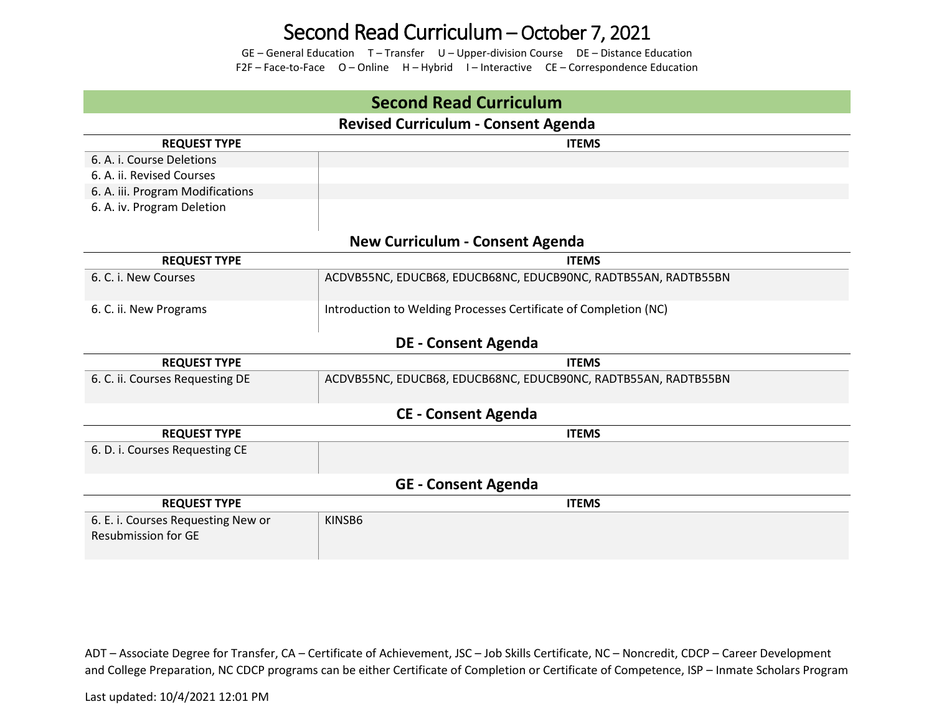## Second Read Curriculum – October 7, 2021

GE – General Education T – Transfer U – Upper-division Course DE – Distance Education F2F – Face-to-Face O – Online H – Hybrid I – Interactive CE – Correspondence Education

| <b>Second Read Curriculum</b>                                    |                                                                  |  |  |  |  |  |
|------------------------------------------------------------------|------------------------------------------------------------------|--|--|--|--|--|
| <b>Revised Curriculum - Consent Agenda</b>                       |                                                                  |  |  |  |  |  |
| <b>REQUEST TYPE</b>                                              | <b>ITEMS</b>                                                     |  |  |  |  |  |
| 6. A. i. Course Deletions                                        |                                                                  |  |  |  |  |  |
| 6. A. ii. Revised Courses                                        |                                                                  |  |  |  |  |  |
| 6. A. iii. Program Modifications                                 |                                                                  |  |  |  |  |  |
| 6. A. iv. Program Deletion                                       |                                                                  |  |  |  |  |  |
|                                                                  |                                                                  |  |  |  |  |  |
| <b>New Curriculum - Consent Agenda</b>                           |                                                                  |  |  |  |  |  |
| <b>REQUEST TYPE</b>                                              | <b>ITEMS</b>                                                     |  |  |  |  |  |
| 6. C. i. New Courses                                             | ACDVB55NC, EDUCB68, EDUCB68NC, EDUCB90NC, RADTB55AN, RADTB55BN   |  |  |  |  |  |
| 6. C. ii. New Programs                                           | Introduction to Welding Processes Certificate of Completion (NC) |  |  |  |  |  |
| <b>DE - Consent Agenda</b>                                       |                                                                  |  |  |  |  |  |
| <b>REQUEST TYPE</b>                                              | <b>ITEMS</b>                                                     |  |  |  |  |  |
| 6. C. ii. Courses Requesting DE                                  | ACDVB55NC, EDUCB68, EDUCB68NC, EDUCB90NC, RADTB55AN, RADTB55BN   |  |  |  |  |  |
| <b>CE - Consent Agenda</b>                                       |                                                                  |  |  |  |  |  |
| <b>REQUEST TYPE</b>                                              | <b>ITEMS</b>                                                     |  |  |  |  |  |
| 6. D. i. Courses Requesting CE                                   |                                                                  |  |  |  |  |  |
| <b>GE - Consent Agenda</b>                                       |                                                                  |  |  |  |  |  |
| <b>REQUEST TYPE</b>                                              | <b>ITEMS</b>                                                     |  |  |  |  |  |
| 6. E. i. Courses Requesting New or<br><b>Resubmission for GE</b> | KINSB6                                                           |  |  |  |  |  |

ADT – Associate Degree for Transfer, CA – Certificate of Achievement, JSC – Job Skills Certificate, NC – Noncredit, CDCP – Career Development and College Preparation, NC CDCP programs can be either Certificate of Completion or Certificate of Competence, ISP – Inmate Scholars Program